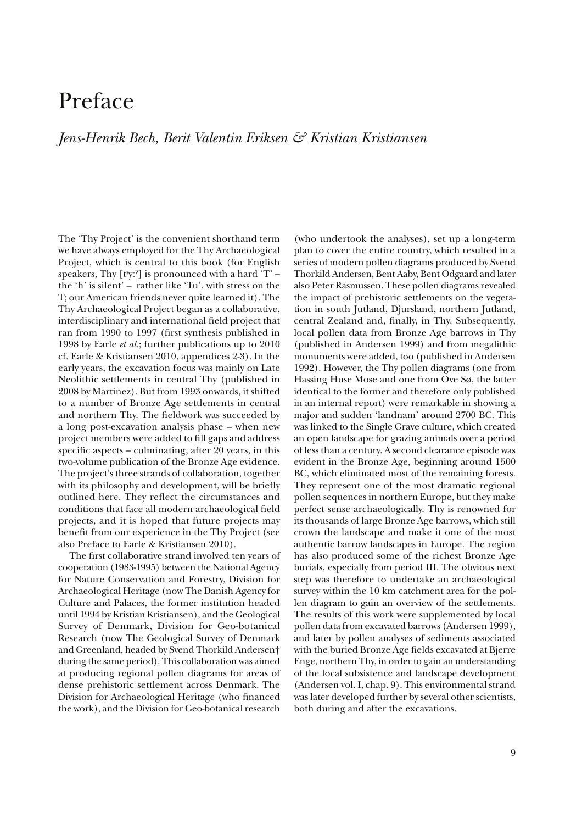## Preface

## *Jens-Henrik Bech, Berit Valentin Eriksen & Kristian Kristiansen*

The 'Thy Project' is the convenient shorthand term we have always employed for the Thy Archaeological Project, which is central to this book (for English speakers, Thy [ $t^s y$ ] is pronounced with a hard 'T' – the 'h' is silent' – rather like 'Tu', with stress on the T; our American friends never quite learned it). The Thy Archaeological Project began as a collaborative, interdisciplinary and international field project that ran from 1990 to 1997 (first synthesis published in 1998 by Earle *et al.*; further publications up to 2010 cf. Earle & Kristiansen 2010, appendices 2-3). In the early years, the excavation focus was mainly on Late Neolithic settlements in central Thy (published in 2008 by Martinez). But from 1993 onwards, it shifted to a number of Bronze Age settlements in central and northern Thy. The fieldwork was succeeded by a long post-excavation analysis phase – when new project members were added to !ll gaps and address specific aspects – culminating, after  $20$  years, in this two-volume publication of the Bronze Age evidence. The project's three strands of collaboration, together with its philosophy and development, will be briefly outlined here. They reflect the circumstances and conditions that face all modern archaeological field projects, and it is hoped that future projects may benefit from our experience in the Thy Project (see also Preface to Earle & Kristiansen 2010).

The first collaborative strand involved ten years of cooperation (1983-1995) between the National Agency for Nature Conservation and Forestry, Division for Archaeological Heritage (now The Danish Agency for Culture and Palaces, the former institution headed until 1994 by Kristian Kristiansen), and the Geological Survey of Denmark, Division for Geo-botanical Research (now The Geological Survey of Denmark and Greenland, headed by Svend Thorkild Andersen† during the same period). This collaboration was aimed at producing regional pollen diagrams for areas of dense prehistoric settlement across Denmark. The Division for Archaeological Heritage (who financed the work), and the Division for Geo-botanical research

(who undertook the analyses), set up a long-term plan to cover the entire country, which resulted in a series of modern pollen diagrams produced by Svend Thorkild Andersen, Bent Aaby, Bent Odgaard and later also Peter Rasmussen. These pollen diagrams revealed the impact of prehistoric settlements on the vegetation in south Jutland, Djursland, northern Jutland, central Zealand and, finally, in Thy. Subsequently, local pollen data from Bronze Age barrows in Thy (published in Andersen 1999) and from megalithic monuments were added, too (published in Andersen 1992). However, the Thy pollen diagrams (one from Hassing Huse Mose and one from Ove Sø, the latter identical to the former and therefore only published in an internal report) were remarkable in showing a major and sudden 'landnam' around 2700 BC. This was linked to the Single Grave culture, which created an open landscape for grazing animals over a period of less than a century. A second clearance episode was evident in the Bronze Age, beginning around 1500 BC, which eliminated most of the remaining forests. They represent one of the most dramatic regional pollen sequences in northern Europe, but they make perfect sense archaeologically. Thy is renowned for its thousands of large Bronze Age barrows, which still crown the landscape and make it one of the most authentic barrow landscapes in Europe. The region has also produced some of the richest Bronze Age burials, especially from period III. The obvious next step was therefore to undertake an archaeological survey within the 10 km catchment area for the pollen diagram to gain an overview of the settlements. The results of this work were supplemented by local pollen data from excavated barrows (Andersen 1999), and later by pollen analyses of sediments associated with the buried Bronze Age fields excavated at Bjerre Enge, northern Thy, in order to gain an understanding of the local subsistence and landscape development (Andersen vol. I, chap. 9). This environmental strand was later developed further by several other scientists, both during and after the excavations.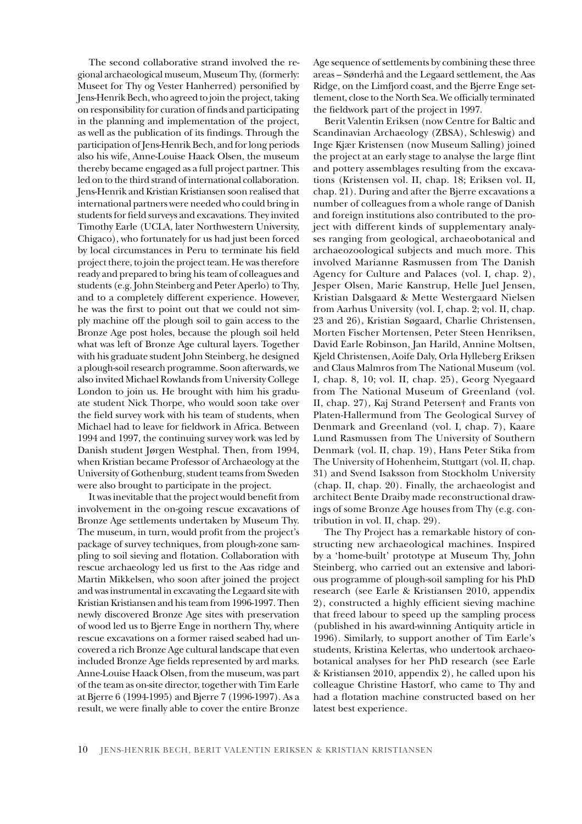The second collaborative strand involved the regional archaeological museum, Museum Thy, (formerly: Museet for Thy og Vester Hanherred) personified by Jens-Henrik Bech, who agreed to join the project, taking on responsibility for curation of finds and participating in the planning and implementation of the project, as well as the publication of its findings. Through the participation of Jens-Henrik Bech, and for long periods also his wife, Anne-Louise Haack Olsen, the museum thereby became engaged as a full project partner. This led on to the third strand of international collaboration. Jens-Henrik and Kristian Kristiansen soon realised that international partners were needed who could bring in students for field surveys and excavations. They invited Timothy Earle (UCLA, later Northwestern University, Chigaco), who fortunately for us had just been forced by local circumstances in Peru to terminate his field project there, to join the project team. He was therefore ready and prepared to bring his team of colleagues and students (e.g. John Steinberg and Peter Aperlo) to Thy, and to a completely different experience. However, he was the first to point out that we could not simply machine off the plough soil to gain access to the Bronze Age post holes, because the plough soil held what was left of Bronze Age cultural layers. Together with his graduate student John Steinberg, he designed a plough-soil research programme. Soon afterwards, we also invited Michael Rowlands from University College London to join us. He brought with him his graduate student Nick Thorpe, who would soon take over the field survey work with his team of students, when Michael had to leave for fieldwork in Africa. Between 1994 and 1997, the continuing survey work was led by Danish student Jørgen Westphal. Then, from 1994, when Kristian became Professor of Archaeology at the University of Gothenburg, student teams from Sweden were also brought to participate in the project.

It was inevitable that the project would benefit from involvement in the on-going rescue excavations of Bronze Age settlements undertaken by Museum Thy. The museum, in turn, would profit from the project's package of survey techniques, from plough-zone sampling to soil sieving and flotation. Collaboration with rescue archaeology led us first to the Aas ridge and Martin Mikkelsen, who soon after joined the project and was instrumental in excavating the Legaard site with Kristian Kristiansen and his team from 1996-1997. Then newly discovered Bronze Age sites with preservation of wood led us to Bjerre Enge in northern Thy, where rescue excavations on a former raised seabed had uncovered a rich Bronze Age cultural landscape that even included Bronze Age fields represented by ard marks. Anne-Louise Haack Olsen, from the museum, was part of the team as on-site director, together with Tim Earle at Bjerre 6 (1994-1995) and Bjerre 7 (1996-1997). As a result, we were finally able to cover the entire Bronze

Age sequence of settlements by combining these three areas – Sønderhå and the Legaard settlement, the Aas Ridge, on the Limfjord coast, and the Bjerre Enge settlement, close to the North Sea. We officially terminated the fieldwork part of the project in 1997.

Berit Valentin Eriksen (now Centre for Baltic and Scandinavian Archaeology (ZBSA), Schleswig) and Inge Kjær Kristensen (now Museum Salling) joined the project at an early stage to analyse the large flint and pottery assemblages resulting from the excavations (Kristensen vol. II, chap. 18; Eriksen vol. II, chap. 21). During and after the Bjerre excavations a number of colleagues from a whole range of Danish and foreign institutions also contributed to the project with different kinds of supplementary analyses ranging from geological, archaeobotanical and archaeozoological subjects and much more. This involved Marianne Rasmussen from The Danish Agency for Culture and Palaces (vol. I, chap. 2), Jesper Olsen, Marie Kanstrup, Helle Juel Jensen, Kristian Dalsgaard & Mette Westergaard Nielsen from Aarhus University (vol. I, chap. 2; vol. II, chap. 23 and 26), Kristian Søgaard, Charlie Christensen, Morten Fischer Mortensen, Peter Steen Henriksen, David Earle Robinson, Jan Harild, Annine Moltsen, Kjeld Christensen, Aoife Daly, Orla Hylleberg Eriksen and Claus Malmros from The National Museum (vol. I, chap. 8, 10; vol. II, chap. 25), Georg Nyegaard from The National Museum of Greenland (vol. II, chap. 27), Kaj Strand Petersen† and Frants von Platen-Hallermund from The Geological Survey of Denmark and Greenland (vol. I, chap. 7), Kaare Lund Rasmussen from The University of Southern Denmark (vol. II, chap. 19), Hans Peter Stika from The University of Hohenheim, Stuttgart (vol. II, chap. 31) and Svend Isaksson from Stockholm University (chap. II, chap. 20). Finally, the archaeologist and architect Bente Draiby made reconstructional drawings of some Bronze Age houses from Thy (e.g. contribution in vol. II, chap. 29).

The Thy Project has a remarkable history of constructing new archaeological machines. Inspired by a 'home-built' prototype at Museum Thy, John Steinberg, who carried out an extensive and laborious programme of plough-soil sampling for his PhD research (see Earle & Kristiansen 2010, appendix 2), constructed a highly efficient sieving machine that freed labour to speed up the sampling process (published in his award-winning Antiquity article in 1996). Similarly, to support another of Tim Earle's students, Kristina Kelertas, who undertook archaeobotanical analyses for her PhD research (see Earle & Kristiansen 2010, appendix 2), he called upon his colleague Christine Hastorf, who came to Thy and had a flotation machine constructed based on her latest best experience.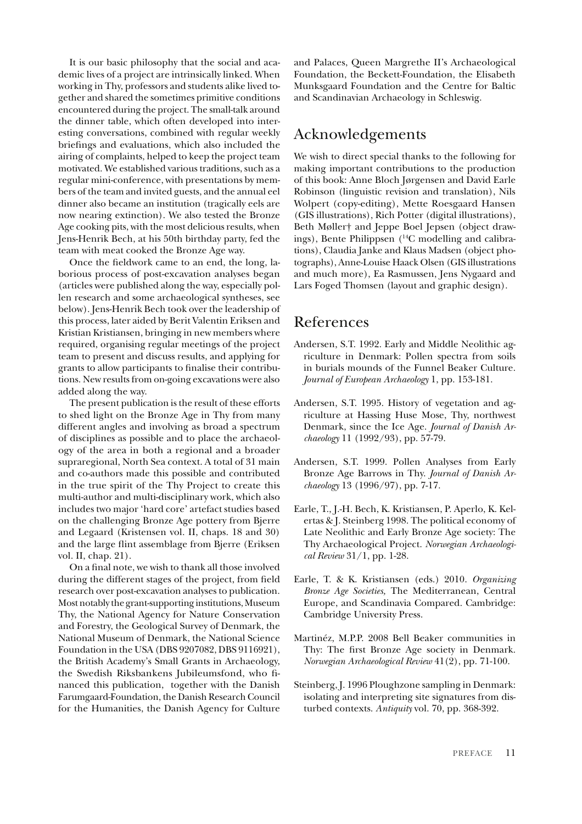It is our basic philosophy that the social and academic lives of a project are intrinsically linked. When working in Thy, professors and students alike lived together and shared the sometimes primitive conditions encountered during the project. The small-talk around the dinner table, which often developed into interesting conversations, combined with regular weekly briefings and evaluations, which also included the airing of complaints, helped to keep the project team motivated. We established various traditions, such as a regular mini-conference, with presentations by members of the team and invited guests, and the annual eel dinner also became an institution (tragically eels are now nearing extinction). We also tested the Bronze Age cooking pits, with the most delicious results, when Jens-Henrik Bech, at his 50th birthday party, fed the team with meat cooked the Bronze Age way.

Once the fieldwork came to an end, the long, laborious process of post-excavation analyses began (articles were published along the way, especially pollen research and some archaeological syntheses, see below). Jens-Henrik Bech took over the leadership of this process, later aided by Berit Valentin Eriksen and Kristian Kristiansen, bringing in new members where required, organising regular meetings of the project team to present and discuss results, and applying for grants to allow participants to finalise their contributions. New results from on-going excavations were also added along the way.

The present publication is the result of these efforts to shed light on the Bronze Age in Thy from many different angles and involving as broad a spectrum of disciplines as possible and to place the archaeology of the area in both a regional and a broader supraregional, North Sea context. A total of 31 main and co-authors made this possible and contributed in the true spirit of the Thy Project to create this multi-author and multi-disciplinary work, which also includes two major 'hard core' artefact studies based on the challenging Bronze Age pottery from Bjerre and Legaard (Kristensen vol. II, chaps. 18 and 30) and the large flint assemblage from Bjerre (Eriksen vol. II, chap. 21).

On a final note, we wish to thank all those involved during the different stages of the project, from field research over post-excavation analyses to publication. Most notably the grant-supporting institutions, Museum Thy, the National Agency for Nature Conservation and Forestry, the Geological Survey of Denmark, the National Museum of Denmark, the National Science Foundation in the USA (DBS 9207082, DBS 9116921), the British Academy's Small Grants in Archaeology, the Swedish Riksbankens Jubileumsfond, who financed this publication, together with the Danish Farumgaard-Foundation, the Danish Research Council for the Humanities, the Danish Agency for Culture and Palaces, Queen Margrethe II's Archaeological Foundation, the Beckett-Foundation, the Elisabeth Munksgaard Foundation and the Centre for Baltic and Scandinavian Archaeology in Schleswig.

## Acknowledgements

We wish to direct special thanks to the following for making important contributions to the production of this book: Anne Bloch Jørgensen and David Earle Robinson (linguistic revision and translation), Nils Wolpert (copy-editing), Mette Roesgaard Hansen (GIS illustrations), Rich Potter (digital illustrations), Beth Møller† and Jeppe Boel Jepsen (object drawings), Bente Philippsen (14C modelling and calibrations), Claudia Janke and Klaus Madsen (object photographs), Anne-Louise Haack Olsen (GIS illustrations and much more), Ea Rasmussen, Jens Nygaard and Lars Foged Thomsen (layout and graphic design).

## References

- Andersen, S.T. 1992. Early and Middle Neolithic agriculture in Denmark: Pollen spectra from soils in burials mounds of the Funnel Beaker Culture. *Journal of European Archaeology* 1, pp. 153-181.
- Andersen, S.T. 1995. History of vegetation and agriculture at Hassing Huse Mose, Thy, northwest Denmark, since the Ice Age. *Journal of Danish Archaeology* 11 (1992/93), pp. 57-79.
- Andersen, S.T. 1999. Pollen Analyses from Early Bronze Age Barrows in Thy. *Journal of Danish Archaeology* 13 (1996/97), pp. 7-17.
- Earle, T., J.-H. Bech, K. Kristiansen, P. Aperlo, K. Kelertas & J. Steinberg 1998. The political economy of Late Neolithic and Early Bronze Age society: The Thy Archaeological Project. *Norwegian Archaeological Review* 31/1, pp. 1-28.
- Earle, T. & K. Kristiansen (eds.) 2010. *Organizing Bronze Age Societies,* The Mediterranean, Central Europe, and Scandinavia Compared. Cambridge: Cambridge University Press.
- Martinéz, M.P.P. 2008 Bell Beaker communities in Thy: The first Bronze Age society in Denmark. *Norwegian Archaeological Review* 41(2), pp. 71-100.
- Steinberg, J. 1996 Ploughzone sampling in Denmark: isolating and interpreting site signatures from disturbed contexts. *Antiquity* vol. 70, pp. 368-392.